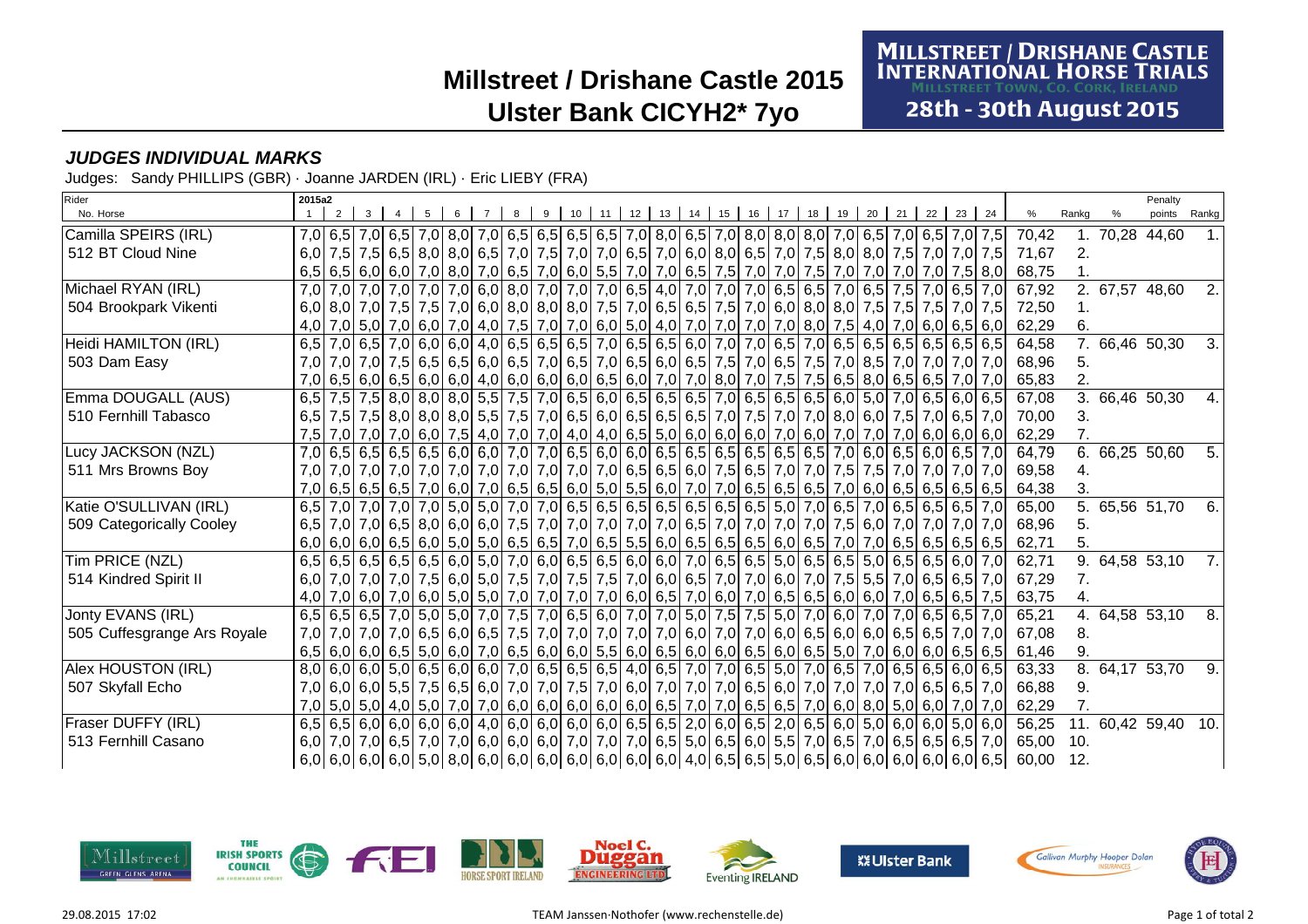# **Millstreet / Drishane Castle 2015Ulster Bank CICYH2\* 7yo**

### **MILLSTREET / DRISHANE CASTLE<br>INTERNATIONAL HORSE TRIALS MILLSTREET TOWN, CO. CORK, IRELAND**

28th - 30th August 2015

### **JUDGES INDIVIDUAL MARKS**

Judges: Sandy PHILLIPS (GBR) · Joanne JARDEN (IRL) · Eric LIEBY (FRA)

| Rider                       | 2015a2 |  |  |  |  |    |    |       |    |    |    |    |    |                                                                                                                                                  |    |    |    |    |    |       |                | Penalty         |       |
|-----------------------------|--------|--|--|--|--|----|----|-------|----|----|----|----|----|--------------------------------------------------------------------------------------------------------------------------------------------------|----|----|----|----|----|-------|----------------|-----------------|-------|
| No. Horse                   |        |  |  |  |  | 10 | 11 | 12 13 | 14 | 15 | 16 | 17 | 18 | 19                                                                                                                                               | 20 | 21 | 22 | 23 | 24 | %     | Rankg          | points          | Rankg |
| Camilla SPEIRS (IRL)        |        |  |  |  |  |    |    |       |    |    |    |    |    | 7,0 6,5 7,0 6,5 7,0 6,5 7,0 8,0 7,0 6,5 6,5 6,5 6,5 6,5 7,0 8,0 6,5 7,0 8,0 8,0 8,0 7,0 6,5 7,0 6,5 7,0 6,5 7,0 7,5                              |    |    |    |    |    | 70,42 |                | 1. 70,28 44,60  |       |
| 512 BT Cloud Nine           |        |  |  |  |  |    |    |       |    |    |    |    |    | 6,0 7,5 7,5 6,5 8,0 8,0 6,5 7,0 7,5 7,0 7,0 7,0 6,5 7,0 6,0 8,0 6,5 7,0 7,5 8,0 8,0 7,5 7,0 7,0 7,0 7,5                                          |    |    |    |    |    | 71.67 | 2.             |                 |       |
|                             |        |  |  |  |  |    |    |       |    |    |    |    |    | 6,5 6,5 6,0 6,0 7,0 8,0 7,0 6,5 7,0 6,6 7,0 6,6 7,0 7,0 6,5 7,0 6,5 7,5 7,0 7,0 7,0 7,5 7,0 7,0 7,0 7,0 7,5 8,0                                  |    |    |    |    |    | 68,75 |                |                 |       |
| Michael RYAN (IRL)          |        |  |  |  |  |    |    |       |    |    |    |    |    | 7,0 7,0 7,0 7,0 7,0 7,0 7,0 7,0 6,0 8,0 7,0 7,0 7,0 6,5 4,0 7,0 7,0 7,0 6,5 6,5 7,0 6,5 7,0 6,5 7,0 6,5 7,0 6,5 7,0                              |    |    |    |    |    | 67,92 |                | 2. 67,57 48,60  | 2.    |
| 504 Brookpark Vikenti       |        |  |  |  |  |    |    |       |    |    |    |    |    | 6,0 8,0 7,0 7,5 7,5 7,6 7,0 6,0 8,0 8,0 8,0 7,5 7,0 6,5 6,5 7,6 7,0 6,0 8,0 8,0 7,5 7,5 7,5 7,5 7,6 7,6 7,6                                      |    |    |    |    |    | 72,50 |                |                 |       |
|                             |        |  |  |  |  |    |    |       |    |    |    |    |    | 4,0 7,0 6,0 6,5 6,0 7,0 6,0 6,5 6,0 7,0 4,0 7,0 7,0 6,0 6,0 6,0 6,0 4,0 7,0 7,0 7,0 7,0 8,0 7,5 4,0 7,0 6,0 6,5 6,0                              |    |    |    |    |    | 62,29 | 6.             |                 |       |
| Heidi HAMILTON (IRL)        |        |  |  |  |  |    |    |       |    |    |    |    |    | 6,5 7,0 6,5 7,0 6,6 7,0 6,0 6,0 4,0 6,5 6,5 6,5 7,0 6,5 6,5 6,6 7,0 7,0 7,0 6,5 7,0 6,5 6,5 6,5 6,5 6,5 6,5 6,5 6,5                              |    |    |    |    |    | 64,58 |                | 7. 66,46 50,30  | 3.    |
| 503 Dam Easy                |        |  |  |  |  |    |    |       |    |    |    |    |    | 7,0 7,0 7,0 7,0 7,0 7,0 7,0 7,0 7,0 6,5 6,0 6,5 7,0 6,5 7,0 6,5 6,0 6,5 7,5 7,0 6,5 7,5 7,0 8,5 7,0 7,0 7,0 7,0 7,0                              |    |    |    |    |    | 68.96 | 5.             |                 |       |
|                             |        |  |  |  |  |    |    |       |    |    |    |    |    | 7,0 6,5 6,0 6,5 6,0 6,5 6,0 7,0 7,0 7,0 7,0 7,0 7,0 7,5 7,5 8,5 8,0 6,5 6,5 7,0 7,0 7,0 7,6 7,5 7,5 7,5 7,5 7,5 7,5 7,5 7,5 7,6 7,70 7,0 7,0 7,0 |    |    |    |    |    | 65,83 | 2.             |                 |       |
| Emma DOUGALL (AUS)          |        |  |  |  |  |    |    |       |    |    |    |    |    | 6,5 7,5 7,5 8,0 8,0 8,0 8,0 5,5 7,6 7,0 6,5 6,0 6,5 6,5 6,5 7,0 6,5 6,5 6,5 6,5 6,0 5,0 7,0 6,5 6,0 6,5 6,0                                      |    |    |    |    |    | 67.08 |                | 3. 66,46 50,30  | 4.    |
| 510 Fernhill Tabasco        |        |  |  |  |  |    |    |       |    |    |    |    |    | 6,5 7,5 7,5 8,0 8,0 8,0 8,0 8,0 5,5 7,6 7,0 6,5 6,0 6,5 6,5 6,5 7,0 7,5 7,0 7,0 8,0 6,0 7,5 7,0 6,5 7,0                                          |    |    |    |    |    | 70,00 | З.             |                 |       |
|                             |        |  |  |  |  |    |    |       |    |    |    |    |    |                                                                                                                                                  |    |    |    |    |    | 62,29 |                |                 |       |
| Lucy JACKSON (NZL)          |        |  |  |  |  |    |    |       |    |    |    |    |    | 7,0 6,5 6,5 6,5 6,5 6,5 6,0 6,0 7,0 7,0 6,5 6,0 6,0 6,0 6,5 6,5 6,5 6,5 6,5 7,0 6,0 6,5 6,0 6,5 7,0                                              |    |    |    |    |    | 64,79 |                | 6. 66,25 50,60  | 5.    |
| 511 Mrs Browns Boy          |        |  |  |  |  |    |    |       |    |    |    |    |    |                                                                                                                                                  |    |    |    |    |    | 69.58 | 4.             |                 |       |
|                             |        |  |  |  |  |    |    |       |    |    |    |    |    |                                                                                                                                                  |    |    |    |    |    | 64,38 | 3.             |                 |       |
| Katie O'SULLIVAN (IRL)      |        |  |  |  |  |    |    |       |    |    |    |    |    | 6,5 7,0 7,0 7,0 7,0 7,0 5,0 5,0 7,0 7,0 6,5 6,5 6,5 6,5 6,5 6,5 6,5 6,5 5,0 7,0 6,5 7,0 6,5 6,5 6,5 6,5 7,0                                      |    |    |    |    |    | 65,00 | 5 <sub>1</sub> | 65,56 51,70     | 6.    |
| 509 Categorically Cooley    |        |  |  |  |  |    |    |       |    |    |    |    |    | 6,5 7,0 7,0 6,5 8,0 6,5 8,0 6,0 6,0 7,5 7,0 7,0 7,0 7,0 7,0 7,0 6,5 7,0 7,0 7,0 7,0 7,0 7,5 6,0 7,0 7,0 7,0 7,0 7,0                              |    |    |    |    |    | 68,96 | 5.             |                 |       |
|                             |        |  |  |  |  |    |    |       |    |    |    |    |    |                                                                                                                                                  |    |    |    |    |    | 62,71 |                |                 |       |
| Tim PRICE (NZL)             |        |  |  |  |  |    |    |       |    |    |    |    |    | 6,5 6,5 6,5 6,5 6,5 6,5 6,0 5,0 7,0 6,0 6,5 6,5 6,6 6,0 6,0 7,0 6,5 6,5 5,0 6,5 6,5 5,0 6,5 6,5 6,5 6,0 7,0                                      |    |    |    |    |    | 62,71 | 9.             | 64,58 53,10     | 7.    |
| 514 Kindred Spirit II       |        |  |  |  |  |    |    |       |    |    |    |    |    | 6,0 7,0 7,0 7,0 7,0 7,0 7,5 6,0 5,0 7,5 7,0 7,5 7,6 7,0 6,0 6,5 7,0 7,0 6,0 7,0 7,1 7,5 5,5 7,0 6,5 6,5 7,0                                      |    |    |    |    |    | 67,29 | 7 <sub>1</sub> |                 |       |
|                             |        |  |  |  |  |    |    |       |    |    |    |    |    | 4,0 7,0 6,0 7,0 6,0 7,0 6,5 6,5 6,6 7,6 7,0 6,0 7,0 7,0 7,0 6,0 6,5 7,0 6,0 7,0 6,5 6,5 6,6 6,0 7,0 6,6 6,5 6,5 7,5                              |    |    |    |    |    | 63,75 |                |                 |       |
| Jonty EVANS (IRL)           |        |  |  |  |  |    |    |       |    |    |    |    |    | 6,5 6,5 7,0 5,0 5,0 7,0 7,5 7,0 6,5 6,0 7,0 7,0 7,0 5,0 7,5 7,5 5,0 7,0 6,0 7,0 6,0 7,0 6,5 6,5 7,0                                              |    |    |    |    |    | 65,21 | $4_{-}$        | 64,58 53,10     | 8.    |
| 505 Cuffesgrange Ars Royale |        |  |  |  |  |    |    |       |    |    |    |    |    | 7,0 7,0 7,0 7,0 6,5 6,5 7,0 6,5 6,0 6,5 7,6 7,0 7,0 7,0 7,0 7,0 6,0 7,0 6,0 7,0 6,0 6,5 6,0 6,0 6,5 6,5 7,0 7,0 7,0                              |    |    |    |    |    | 67.08 | 8.             |                 |       |
|                             |        |  |  |  |  |    |    |       |    |    |    |    |    | $6,5$ 6,0 6,0 6,0 6,5 5,0 6,0 7,0 6,5 6,0 6,0 6,0 5,5 6,0 6,5 6,0 6,0 6,5 6,0 6,5 5,0 7,0 6,0 6,0 6,0 6,5 6,5                                    |    |    |    |    |    | 61,46 | 9.             |                 |       |
| Alex HOUSTON (IRL)          |        |  |  |  |  |    |    |       |    |    |    |    |    | 8,0 6,0 6,0 5,0 6,5 6,0 6,0 7,0 6,5 6,5 6,5 6,5 4,0 6,5 7,0 7,0 6,5 5,0 7,0 6,5 7,0 6,5 6,5 6,0 6,5                                              |    |    |    |    |    | 63,33 | 8.             | 64,17 53,70     | 9.    |
| 507 Skyfall Echo            |        |  |  |  |  |    |    |       |    |    |    |    |    | 7,0 6,0 6,0 6,5 7,5 6,5 6,0 7,0 7,0 7,5 7,0 6,0 7,5 7,0 6,0 7,0 7,0 6,5 6,0 7,0 7,0 7,0 7,0 7,0 6,5 6,5 6,5 7,0                                  |    |    |    |    |    | 66,88 | 9.             |                 |       |
|                             |        |  |  |  |  |    |    |       |    |    |    |    |    | 7,0 5,0 4,0 5,0 7,0 7,0 7,0 6,0 6,0 6,0 6,0 6,0 6,0 6,5 7,0 7,0 6,5 7,0 6,5 7,0 6,0 8,0 5,0 6,0 7,0 7,0                                          |    |    |    |    |    | 62,29 |                |                 |       |
| Fraser DUFFY (IRL)          |        |  |  |  |  |    |    |       |    |    |    |    |    | 6,5 6,5 6,0 6,0 6,0 6,0 6,0 4,0 6,0 6,0 6,0 6,0 6,0 6,5 6,5 2,0 6,0 6,5 2,0 6,5 6,0 5,0 6,0 6,0 6,0 5,0 6,0 6,0                                  |    |    |    |    |    | 56,25 | 11.            | 60,42 59,40 10. |       |
| 513 Fernhill Casano         |        |  |  |  |  |    |    |       |    |    |    |    |    | 6,0 7,0 7,0 6,5 7,0 6,5 7,0 7,0 6,0 6,0 6,0 6,0 7,0 7,0 7,0 6,5 5,0 6,5 6,0 5,5 7,0 6,5 7,0 6,5 6,5 6,5 6,5 7,0                                  |    |    |    |    |    | 65.00 | 10.            |                 |       |
|                             |        |  |  |  |  |    |    |       |    |    |    |    |    |                                                                                                                                                  |    |    |    |    |    | 60,00 | 12.            |                 |       |